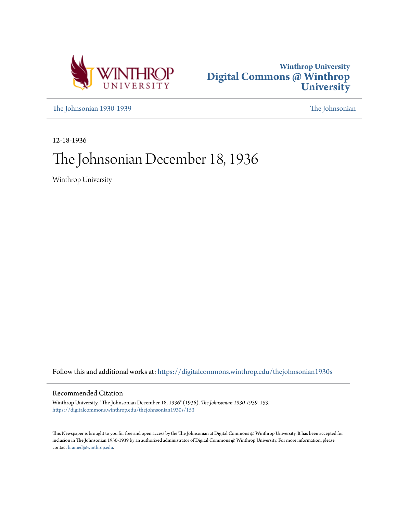



[The Johnsonian 1930-1939](https://digitalcommons.winthrop.edu/thejohnsonian1930s?utm_source=digitalcommons.winthrop.edu%2Fthejohnsonian1930s%2F153&utm_medium=PDF&utm_campaign=PDFCoverPages) [The Johnsonian](https://digitalcommons.winthrop.edu/thejohnsonian_newspaper?utm_source=digitalcommons.winthrop.edu%2Fthejohnsonian1930s%2F153&utm_medium=PDF&utm_campaign=PDFCoverPages)

12-18-1936

# The Johnsonian December 18, 1936

Winthrop University

Follow this and additional works at: [https://digitalcommons.winthrop.edu/thejohnsonian1930s](https://digitalcommons.winthrop.edu/thejohnsonian1930s?utm_source=digitalcommons.winthrop.edu%2Fthejohnsonian1930s%2F153&utm_medium=PDF&utm_campaign=PDFCoverPages)

## Recommended Citation

Winthrop University, "The Johnsonian December 18, 1936" (1936). *The Johnsonian 1930-1939*. 153. [https://digitalcommons.winthrop.edu/thejohnsonian1930s/153](https://digitalcommons.winthrop.edu/thejohnsonian1930s/153?utm_source=digitalcommons.winthrop.edu%2Fthejohnsonian1930s%2F153&utm_medium=PDF&utm_campaign=PDFCoverPages)

This Newspaper is brought to you for free and open access by the The Johnsonian at Digital Commons @ Winthrop University. It has been accepted for inclusion in The Johnsonian 1930-1939 by an authorized administrator of Digital Commons @ Winthrop University. For more information, please contact [bramed@winthrop.edu](mailto:bramed@winthrop.edu).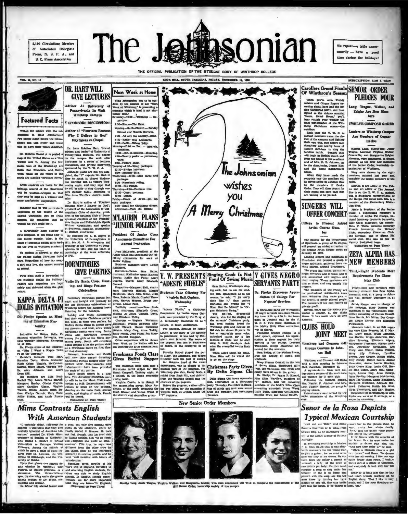2.100 Circulation: Member of Associated Collegiate Press, N. S. P. A., and S. C. Press Association

The J **insonian** 

We repeat-a trifle unne  $e^{\frac{1}{2}}$  casarily  $-$  have a good time during the holidays!

THE OFFICIAL PUBLICATION OF THE STUDENT BODY OF WINTHROP COLLEGE VOL. 14, NO. 13 ROCK HILL, SOUTH CAROLINA, PRIDAY, DECEMBER 18, 1998 SUBSCRIPTION, SLM A YEAR Carollers Grand Finale SENIOR ORDER DR. HART WILL  $\bullet$ 84 Next Week at Home **GIVE LECTURES** When you've seen Fredrig<br>Middle and Ginger Registry<br>Antairs and Ginger Registry<br>Cable-Christman party, and have<br>club-Christman party, and have<br>"Home. Sweet Home," you'll<br>hand performance of the Win-<br>terediers, entance Chri **PLEDGES FOUR** The Jehnsonian, not to be ou The Jehnsonian, not to be out<br>done by the absence of any "Net<br>Week at Winthrop," is presenting<br>calendar which is ideal if not alto Adviser At University of Lang, Teague, Walker, as ue : Pennsylvania To Visit Zeigler Are New Manuther true.)<br>turday—12:30 — Winthrop — De Winthrop Campus bers **Featured Facts** parture.<br>8:30-Home-The Date.<br>8unday-10-13-Church — Sund **Y SPONSORS DISCUSSIONS TWELVE COMPOSE ORDER** What's the matter with the nul- Author of "Fourteen Re summy-iv-is-caucii - sum<br>
School and Church Bervices.<br>
1:30-AR over the country-RM<br>
1:30-Radio-Nelson Eddy. heast the matter was the micro-<br>home in Main Auditorium?<br>people stand before the micro-<br>ne and talk freely and those Why I Believe in God" every people stand has Austilian and Mitter and Conserver and Conserver and the base of the standard standard and the standard standard in the standard standard and the standard standard in the standard standard and the s May Speak In Chapel  $5:30$ 1:00-Radio-Nelson  $4:00$ Ω uty parlor — p wave.<br>8:30-PS wave.<br>1:30-Picture show.<br>Tuesday—3:30—Wrap packages.<br>1:330—Rridge luncheon.<br>1:30—Another date.<br>Wednesday—10:30—Mall cards the Johnsonian and the bound matter and the matter of Windings.<br>
Note that the bound the state of the state of the state of the state of<br>
Note that the state of the state of the state of the state of<br>
the street collection is complete t Wednesday --10:30--Mall cards and<br>
packages.<br>
4:30--Horschack riding.<br>
10:30--Hit Parada.<br>
Thursday--3:30--Decorate tree.<br>
10:30--Orack postman.<br>
2:30--Orack of dawn-grt up.<br>
Priday--Orack of dawn-grt up.<br>
Priday--Orack of vistres you pen packages.<br>2:30-Stuff for Christmas dint<br>Afternoon-Visit old friends. **SINGERS WILL** tion elub. Ά Merry Christmas **CONCERT CONCERT CARGO IS President of the Sunter Property:** CARGO IS PRESERVED TO Apple PE OWNER, BALL DRIVED TO Apple PE OWNER, BALL DRIVED TO Apple PE OWNER PROPERTY (TRANSPERTY) CREATERS ŕ, **M'LAURIN PLANS** ry dramatic fraternity<br>dasquers; the Senate Glee Club: Ma "JUNIOR FOLLIES" ą a **Deadlest Of Innier Clas Announces Committee For Annual Production** Jean McLaurin, president of the Leading singers and musicians of<br>Leading singers and musicians of<br>negro spirituals, gathered from ra-<br>rious sources around Charleston. Junior Class, has announced the residential committees for work on<br>Junior Palites:<br>Business manager-Mary Louise NEW MEMBERS مخفف  $\blacktriangleright$   $\blacktriangleright$  $20<$  $\partial$ DERVANTS PARTY NAMES OF THE STATE OF THE SERVE AND THE STATE OF THE STATE OF THE STATE OF THE STATE OF THE STATE OF THE STATE OF THE STATE OF THE STATE OF THE STATE OF THE STATE OF THE STATE OF THE STATE OF THE STATE OF TH **GIVE PARTIES** The group has voited plantation: Thirty-Eight Students Meet regro meetings and revivals, and is<br>rell acquainted with negro. a and heir singing. These musicians are<br>aid to chant and sing exactly like Requirements For Chem-Pirst class mail is forwarded to the students during the holidays. Visits By Santa Claus, Dance<br>Papers and magazines are kept visits By Santa Claus, Dance<br>safely and delivered when the girls ing. and Shingte Feature istry Club **SERVANTS PARTY** "ADESTE FIDELIS" Sam Balley, Winthrop's singbegines. The members of the swelety are formula minimized to the members were the most proteined in the center of the control of the section of the section of the section of the center of the section of the center of the  $\overline{P}$ San source, womanneys assetting the constraints of the charge of the constraints and hypna size of the charge of the charge of the charge of the state of the state of the state of the state of the state of the state of th Dr. Phelpa Expresses Appre-<br>elation Of College For Celebrations Alpha are an A or B at ed on Page Three) New Senior Order Members Senor de la Rosa Depicts Mims Contrasts English **Typical Mexican Courtship With American Students** 

aced this week to complete the membership of the quick and M **Inspantia Zeigler**, who were

**WITH AMERICAN SURFACES**<br>  $\bullet$  the metally disk valid state of the space, that conjunctions were<br>
the metally disk valid state of the space of the solutions were<br>
disk upon the state of the state of the state of the state ີທ

eyes, the ch

**TYPICOU IVIEXICUIT COUPLESITYP**<br>
"Jense can be shown recent the total points and the state of the state of the state of the state of the state of the state of the state of the state of the state of the state of the state

ily on and off. She may invite much, and I like your into the house. If he desires to cent, too."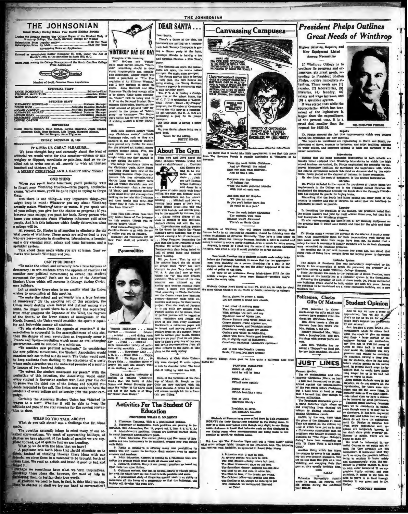

Regular Session The Official Organ of the Student Bo 

ed as second-class matter November 21, 1923, under the Act March 3, 1979, at the postoffice in Rock Hill, S. C.

ed First Among the College Newspapers of the South Carolina Coll

**Engine Communication** 

her of Routh Carolina Press As

#### EDITORIAL STAFF

BLUM ..

| <b>BUSINESS STAFF</b> |  |   |
|-----------------------|--|---|
|                       |  |   |
|                       |  |   |
|                       |  |   |
|                       |  |   |
|                       |  |   |
|                       |  | . |

#### **REPORTERS**

luth Bethea, Lorena.<br>| Rudnick, Lois Young<br>|t Morgan, Anne Tilgh

#### PEIDAY, DECEMBER 18, 1834

#### IT GIVES US GREAT PLEASURE-

rr GIVES US GREAT PLEASURE-<br>We have thought long and carnestly about the kind of<br>ditorial we would write for this occasion-solemn or gay<br>seighty or flippast, moralistic or pointies. And so we de-<br>ided not to write one at a undred and thirteen of you and there is with an unit of the and thirteen of you

### ONE THING

When you reach home ratinue, you'll probably want<br>to forget your Winthrop troubles-term papers, notebooks,<br>exams. What's more, you'll be quite right in trying to forget

them.<br>
But there is one thing—a very important thing—you<br>
might keep in mind: Whatever you asy about Winthrep<br>
actually makes Winthrop better or were. If you speak well<br>
of your college, you give her the channe to progress ollege will be.<br>At present, Dr. Phelps is attempting to eliminate the six

At present, or, range is attempted with a reeds of Winthrop. These needs are self-evident to you<br>who are here—repairs in dormitories, laboratories, a laundry<br>and a dry cleaning plant, salary and wage increases, and a system.

Talk about these needs while you are at home. Your re<br>Talk about these needs while you.

#### CAN IT BE DONE?

"To make the school and university into a true fortress of ocracy; to win students from the appeais of reaction; to dider now political movements; to extend the student ament for peace." Such are the aims of the American for peace." Such are the aims of the American ethical set sider 1 mas holidays.

mas holidays these aims to see exactly what the Union wishes to a<br>coomplish at this meeting. To make the second and university into a true for<br>trees of democracy." By the carrying out of this principle, the Union would de

ity and fellowship among all students.<br>"To win students from the appeals of reaction." If the association is auccessful in the accomplishment of this aim,

"To win situate<br>the numerical from the appearant or the same of this sim, Pierence ... musician ..., of<br>charge cases association is successful in the accomplishment of this sim, Pierence ... musician ..., which the charge

age.<br>Certainly the American Student Union has "hitched its<br>agen to a star". Whether it will be able to keep the<br>ditude and pace of the star remains for the conting convenin to show

#### WHAT DO YOU TALK ABOUT? What do you talk abe out? was a challenge that Dr. Mim

The question naturally brings to mind many of our so *ealied* co

The question naturally brings to mind many of our someoned and conversations. We speak of approaching holidays, of the same planned, of the loads of parallel we are supplement of the same of continue of  $\Lambda$  professor sets

orget it.<br>The approximation of the set of the property of the property these ideas die, however, for weat of help in<br>the set of the property below the words.<br>The set of the set of the set of the set of the set of the set o



There's a dance of the club, the bachelors are putting on a masque-<br>rade ball, Tommy Thompson is giving a dinner party at the hotel **WINTHROP DAY BY DAY** Penclope Rhodes is having a tes

Thoughts while browsing:<br>"Bif" McCuen and "Focket"

The<br>such a while browning: and Gymbia Steams a New Years and Similar Movies and<br> $G$  and Gymbia Steams, a New Years<br>field make perfect success. "Wern- part then<br>the same perfect success." "Wern- The theatnes are open, the

party.<br>So,

 $\frac{L}{\text{max for the satisfy}}$ 

**About The Gym** Seen here and there about the ▔

 $\overline{p}$ 

ard . . . Dantmer<br>
and Kneece get-<br>
ting to be we<br>
zards at aeria<br>
darts . . . Jack<br>
son and Thomas

car (Circle and Control and Control and Control and Control and Rammage rates. All the action of the state and the state and control and control and control and control and the state of the carrier beam and the state and c The college beaution<br>in thrive on the California christen counterparts and the California base<br>in and Gene Filina have extend the haddening baseless of the presenting baseless of<br>the presenting comparison of the presentin  $\frac{1}{2}$ 

**Personalities** 

Time flies note-There have been

The files note-There have been more in<br>the solution of the Johnson-The state that this senior. (Would you re-<br>porters believe that): (Would you re-<br>proters believe that): (Would you re-<br>proters believe bourges at Phillipp.

nches) causing a bit of ... Mary Perguson ben et that she is not required to to Physical Ed second semester.

ntais class being test kill of broad jump and

that of broad jump and balance<br>about the broad jump and balance<br>board walking.<br>The Albert when the old system<br>about the old giving block when the best of giving below.<br>The changed to plan. Very dataly gold<br>where the "W" wa nockey this banques Monday mini-<br>model policy in a domes were presented? This according to Blacke MeColetti<br>con the Gatton twist have identical porture—discovery made while ex-<br>model point and the second maining and isoti such, reminders and<br>giare at you from ever<br>blackbourd, a rainlature  $\mathcal{L}$ rd, a toiniature paper will Virginia McEetihen . . . from<br>Piorence . . . musician . . . debater<br>. . teholar . . . and dining room<br>hairman . . . president of Book and<br>Key . . . Irank . . . efficient . . . be lasued, and moving pl

be issued, and moving pictures of<br>pointing the campus. Begins are convented to correct, your faults. Unseen<br>press are on you Thist we are plan-<br>might to have a play day of our own<br>and invite representatives from all<br>other

#### **Activities For The Student Of Education**

#### SOR WILLIS D. MAG

uupervisor<br>1. (See Jol<br>1.1

Factures and the state of the state of the state of the state of the state of the Section Capital Control and the Section Capital Control Control Control Control Control Control Control Control Control Control Control Cont  $2A$ y important ad 4 Vist

are new instrum a to be me red. W

ch India, the Basic in British and the string many new possibilities for the ARAD in British and is string<br>to the value of the stringer many new possibilities for the ARAD in British<br>state. As decrease is consider to be a



uld take little imagination to see that this p<br>ple is equally applicable at Winthrop as

Twas the week before Christ And all through the schedule<br>Only one man west studying And he was a fool.

Everyone was day-dreaming<br>Of holiday fun<br>While the books gathered cob<br>With dust on each one.

And then said Mr. Knyden<br>"Til give an exam<br>Se you you'd better lowrn Eco<br>"Or you'll be in a jarn."

Twas the week before Oh<br>The stadents were cross<br>Because they'd discovered<br>There's no Banta Claus

students at Winthrop who will depart to<br>see books in an inextricable condition, shoul

constants at Winthrop who will depart tomorrow, keaving the<br>ance books in an inextrictivic condition, should be thinking event the<br>an established at Syrucuse University. They have a loss office or<br>terminan When the termin stem estab

Two North Carolina Statz sintents recently made rately takes the<br>form the Presimums Amenably 11 seems that the two appreciase-<br>mean were standing on a cornor than<br>adder for a rifer. A car at the spinor than the state of t

.<br>Wellesly College News ahows us that we, after all, do wish for ab<br>same things whether in the North or South, university or college:

Santa, please, to please a lamie,<br>Let her choose a brand new chassis,

I can think of nothing finer<br>Then the emite of Louise Rater, With perhaps, the pert, and coy Tip-tilited mose of Myrna Lop.<br>Simple Simon's point would please me: Simone Simon's point would please me:<br>Cliquer Roger frame s 's cychrows!

Add to this MacDonald's trem

rely Callege News goes on into quite a diffe

**PANNING PLEASURE** Dinner at eight<br>(And he will be late.)

mal at ten.<br>hat! roses again!)

**Supper at one**<br>Which feels like a ton.)

.<br>Tazi at three<br>(Hardwon liberty.)

Breakfast at seven<br>(Oh sulitude's hasv

comete historical and the mean of the second distribution of the second state of the second terms of the second control in the second change of the second change of the second control in the second state of the second stat

Policemen, Clocks<br>
Colif China (Student Opinion (Student Opinion (Student Opinion (Student Opinion (Student Opinion (Student Opinion (Student Opinion (Student Opinion (Student Opinion (Student Opinion (Student Opinion (St Not long ago The Princeton Tiger sent out a "fee<br>at other colleges (girls) thought of the Princeton bo<br>I received from Radcliffe, as appeared in Sweet Siria on boys. The f

A Princeton main is easy to pick, an even one of the player parties here are<br>yet a representation of the control of the control of the state of<br>the Best dreamed–chashy colors but near, the player of the state of<br> $\omega$ . The

## **President Phelps Outlines Great Needs of Winthrop**

Higher Salaries, Repairs, and New Equipment Listed<br>Among Necessities

If Winthrop College is to continue its progress and expansions, six great needs, ac-<br>cording to President Shelton coronny to Freehouse and the phelps, require immediate at-<br>tention. These needs are (1)<br>repairs, (2) laboratories, (3)<br>libraries, (4) laundry, (5) noraries, (4) namary, (5)<br>salary and wage increase, and<br>(6) a sprinkler system.<br>It was stated that while the

It was stated that while the<br>appropriation which has been<br>asked of the legislature is<br>larger than the expenditures<br>of the present year, it is a<br>great deal smaller than the<br>request for 1935-36.

nts which were del

DR. SHELTON PE

Steting that the home ec mics lab Susting that the home reconomics laboratories in high schools are<br>usually believe support than Winnipey is<br>bowhavies in which the high provide the colored tender are truined. Dr. Pro<br>Equation the necessity for time proved

He also listed the need of equipment in one accrose severances.<br>
Dr. Prichys included in the request for purchases of the<br>representation in the Collinge and in the Training Gchool literation.<br>
Fermionization is increased

Dr. Philips made a request for increase on the salaries of facts.<br>birs. After commending them for their considerations were due to a<br>part areas pears with guide their vages investigations were due a<br>salary increase is nece uring the<br>d that a He recalled the 10 per ce

rronems.<br>I increase two years ago, but mated the<br>aght down the buying power to depression ung ro ta of living he

#### Sprinkler Srd

the buildings to be co

Policemen, Clocks **Gifts Of Matrons** 

The danger of dinastown Heat any particularly emphasized by Datispa in this enumeration of receiving the presented the overally of British principal and the principal control of the principal state the request was made to

**Student Opinion**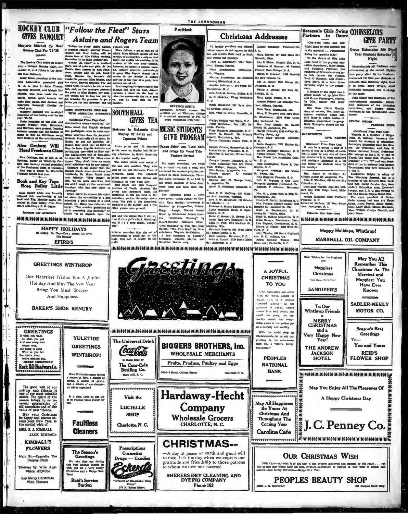